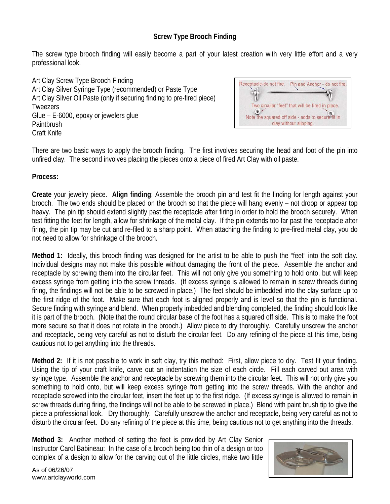## **Screw Type Brooch Finding**

The screw type brooch finding will easily become a part of your latest creation with very little effort and a very professional look.

Art Clay Screw Type Brooch Finding Art Clay Silver Syringe Type (recommended) or Paste Type Art Clay Silver Oil Paste (only if securing finding to pre-fired piece) Tweezers Glue – E-6000, epoxy or jewelers glue **Paintbrush** Craft Knife



There are two basic ways to apply the brooch finding. The first involves securing the head and foot of the pin into unfired clay. The second involves placing the pieces onto a piece of fired Art Clay with oil paste.

## **Process:**

**Create** your jewelry piece. **Align finding**: Assemble the brooch pin and test fit the finding for length against your brooch. The two ends should be placed on the brooch so that the piece will hang evenly – not droop or appear top heavy. The pin tip should extend slightly past the receptacle after firing in order to hold the brooch securely. When test fitting the feet for length, allow for shrinkage of the metal clay. If the pin extends too far past the receptacle after firing, the pin tip may be cut and re-filed to a sharp point. When attaching the finding to pre-fired metal clay, you do not need to allow for shrinkage of the brooch.

**Method 1:** Ideally, this brooch finding was designed for the artist to be able to push the "feet" into the soft clay. Individual designs may not make this possible without damaging the front of the piece. Assemble the anchor and receptacle by screwing them into the circular feet. This will not only give you something to hold onto, but will keep excess syringe from getting into the screw threads. (If excess syringe is allowed to remain in screw threads during firing, the findings will not be able to be screwed in place.) The feet should be imbedded into the clay surface up to the first ridge of the foot. Make sure that each foot is aligned properly and is level so that the pin is functional. Secure finding with syringe and blend. When properly imbedded and blending completed, the finding should look like it is part of the brooch. (Note that the round circular base of the foot has a squared off side. This is to make the foot more secure so that it does not rotate in the brooch.) Allow piece to dry thoroughly. Carefully unscrew the anchor and receptacle, being very careful as not to disturb the circular feet. Do any refining of the piece at this time, being cautious not to get anything into the threads.

**Method 2:** If it is not possible to work in soft clay, try this method: First, allow piece to dry. Test fit your finding. Using the tip of your craft knife, carve out an indentation the size of each circle. Fill each carved out area with syringe type. Assemble the anchor and receptacle by screwing them into the circular feet. This will not only give you something to hold onto, but will keep excess syringe from getting into the screw threads. With the anchor and receptacle screwed into the circular feet, insert the feet up to the first ridge. (If excess syringe is allowed to remain in screw threads during firing, the findings will not be able to be screwed in place.) Blend with paint brush tip to give the piece a professional look. Dry thoroughly. Carefully unscrew the anchor and receptacle, being very careful as not to disturb the circular feet. Do any refining of the piece at this time, being cautious not to get anything into the threads.

**Method 3:** Another method of setting the feet is provided by Art Clay Senior Instructor Carol Babineau: In the case of a brooch being too thin of a design or too complex of a design to allow for the carving out of the little circles, make two little



As of 06/26/07 www.artclayworld.com